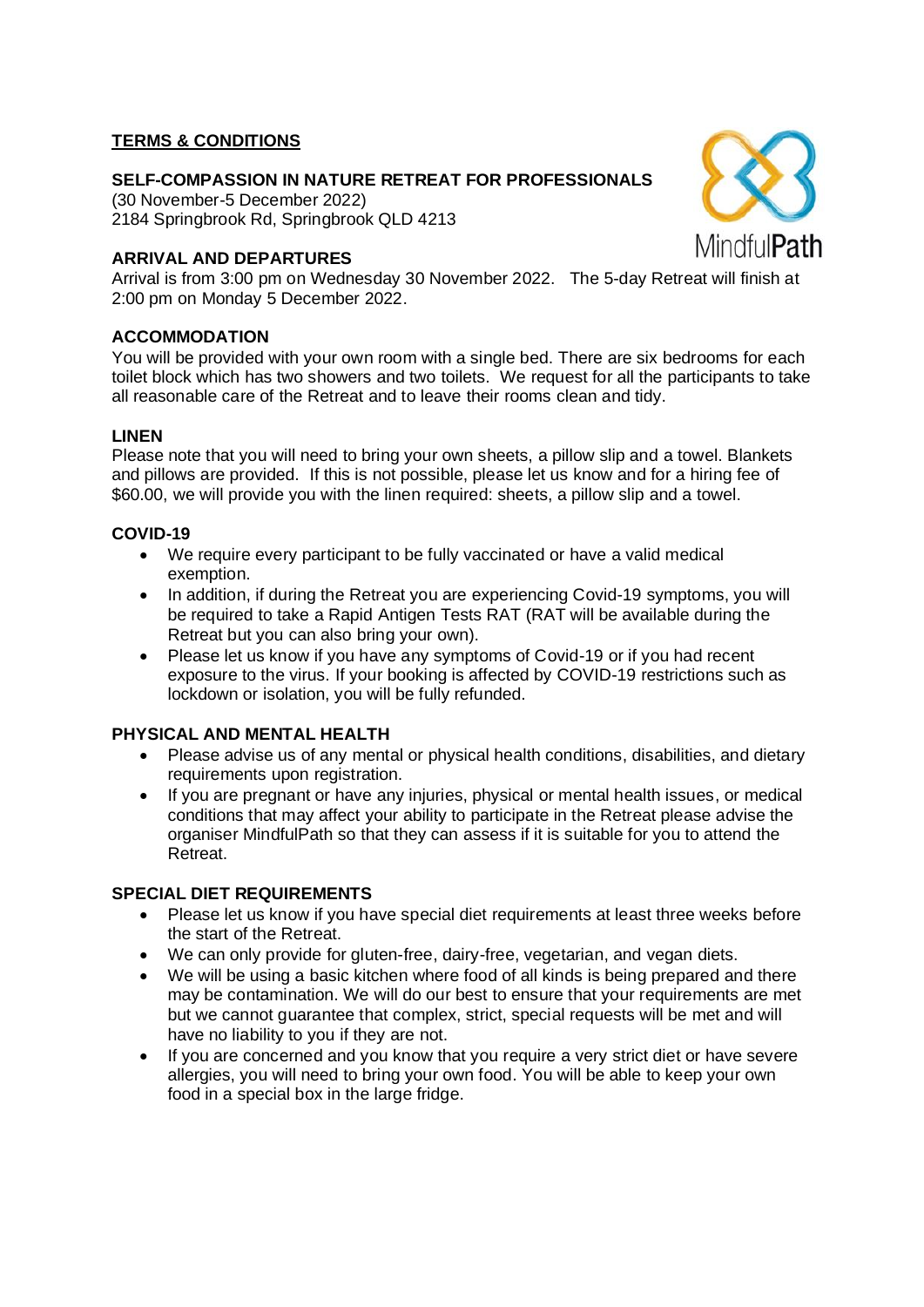## **TERMS & CONDITIONS**

## **SELF-COMPASSION IN NATURE RETREAT FOR PROFESSIONALS**

(30 November-5 December 2022) 2184 Springbrook Rd, Springbrook QLD 4213

## **ARRIVAL AND DEPARTURES**

Arrival is from 3:00 pm on Wednesday 30 November 2022. The 5-day Retreat will finish at 2:00 pm on Monday 5 December 2022.

## **ACCOMMODATION**

You will be provided with your own room with a single bed. There are six bedrooms for each toilet block which has two showers and two toilets. We request for all the participants to take all reasonable care of the Retreat and to leave their rooms clean and tidy.

#### **LINEN**

Please note that you will need to bring your own sheets, a pillow slip and a towel. Blankets and pillows are provided. If this is not possible, please let us know and for a hiring fee of \$60.00, we will provide you with the linen required: sheets, a pillow slip and a towel.

## **COVID-19**

- We require every participant to be fully vaccinated or have a valid medical exemption.
- In addition, if during the Retreat you are experiencing Covid-19 symptoms, you will be required to take a Rapid Antigen Tests RAT (RAT will be available during the Retreat but you can also bring your own).
- Please let us know if you have any symptoms of Covid-19 or if you had recent exposure to the virus. If your booking is affected by COVID-19 restrictions such as lockdown or isolation, you will be fully refunded.

#### **PHYSICAL AND MENTAL HEALTH**

- Please advise us of any mental or physical health conditions, disabilities, and dietary requirements upon registration.
- If you are pregnant or have any injuries, physical or mental health issues, or medical conditions that may affect your ability to participate in the Retreat please advise the organiser MindfulPath so that they can assess if it is suitable for you to attend the Retreat.

## **SPECIAL DIET REQUIREMENTS**

- Please let us know if you have special diet requirements at least three weeks before the start of the Retreat.
- We can only provide for gluten-free, dairy-free, vegetarian, and vegan diets.
- We will be using a basic kitchen where food of all kinds is being prepared and there may be contamination. We will do our best to ensure that your requirements are met but we cannot guarantee that complex, strict, special requests will be met and will have no liability to you if they are not.
- If you are concerned and you know that you require a very strict diet or have severe allergies, you will need to bring your own food. You will be able to keep your own food in a special box in the large fridge.

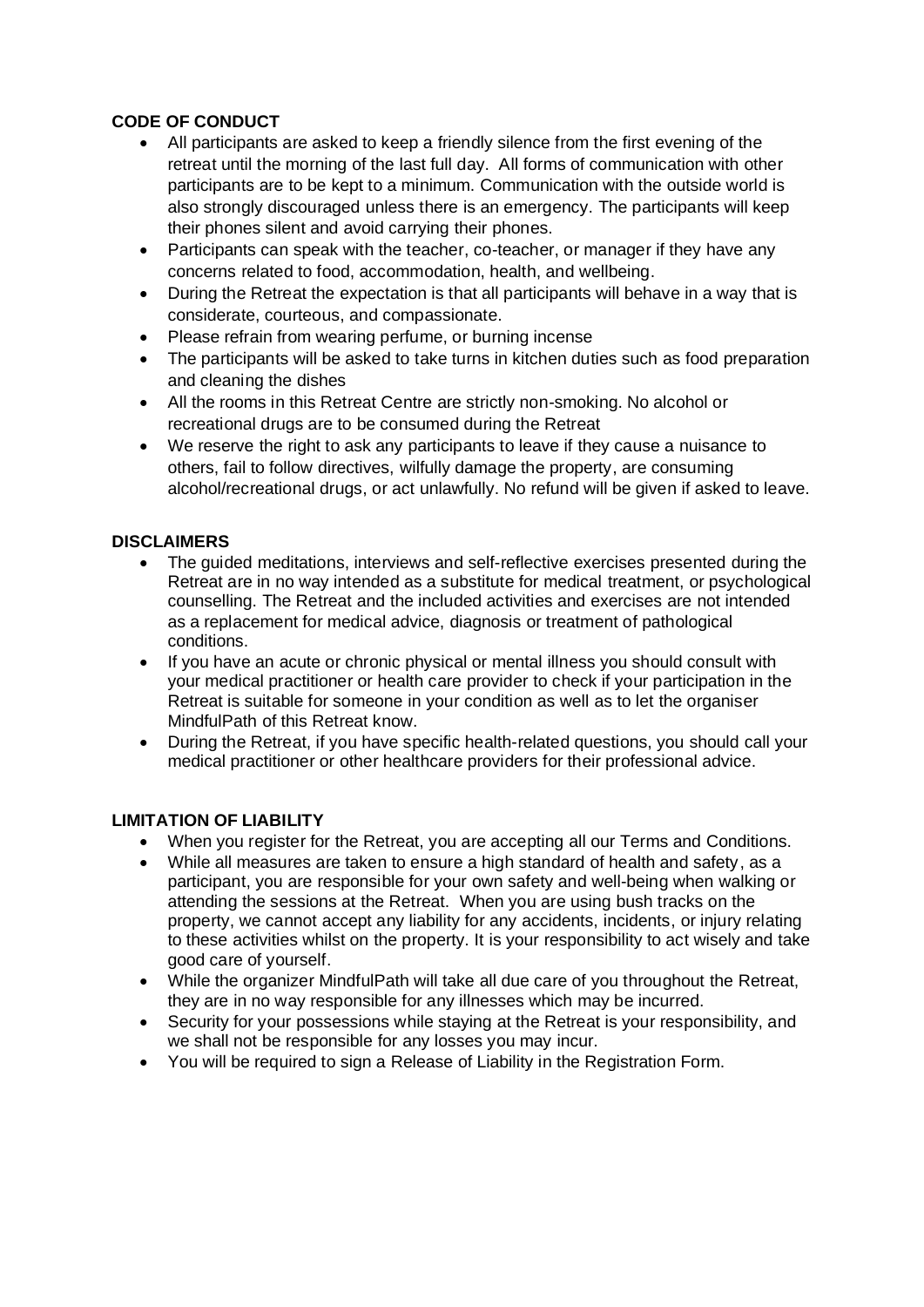# **CODE OF CONDUCT**

- All participants are asked to keep a friendly silence from the first evening of the retreat until the morning of the last full day. All forms of communication with other participants are to be kept to a minimum. Communication with the outside world is also strongly discouraged unless there is an emergency. The participants will keep their phones silent and avoid carrying their phones.
- Participants can speak with the teacher, co-teacher, or manager if they have any concerns related to food, accommodation, health, and wellbeing.
- During the Retreat the expectation is that all participants will behave in a way that is considerate, courteous, and compassionate.
- Please refrain from wearing perfume, or burning incense
- The participants will be asked to take turns in kitchen duties such as food preparation and cleaning the dishes
- All the rooms in this Retreat Centre are strictly non-smoking. No alcohol or recreational drugs are to be consumed during the Retreat
- We reserve the right to ask any participants to leave if they cause a nuisance to others, fail to follow directives, wilfully damage the property, are consuming alcohol/recreational drugs, or act unlawfully. No refund will be given if asked to leave.

## **DISCLAIMERS**

- The guided meditations, interviews and self-reflective exercises presented during the Retreat are in no way intended as a substitute for medical treatment, or psychological counselling. The Retreat and the included activities and exercises are not intended as a replacement for medical advice, diagnosis or treatment of pathological conditions.
- If you have an acute or chronic physical or mental illness you should consult with your medical practitioner or health care provider to check if your participation in the Retreat is suitable for someone in your condition as well as to let the organiser MindfulPath of this Retreat know.
- During the Retreat, if you have specific health-related questions, you should call your medical practitioner or other healthcare providers for their professional advice.

## **LIMITATION OF LIABILITY**

- When you register for the Retreat, you are accepting all our Terms and Conditions.
- While all measures are taken to ensure a high standard of health and safety, as a participant, you are responsible for your own safety and well-being when walking or attending the sessions at the Retreat. When you are using bush tracks on the property, we cannot accept any liability for any accidents, incidents, or injury relating to these activities whilst on the property. It is your responsibility to act wisely and take good care of yourself.
- While the organizer MindfulPath will take all due care of you throughout the Retreat, they are in no way responsible for any illnesses which may be incurred.
- Security for your possessions while staying at the Retreat is your responsibility, and we shall not be responsible for any losses you may incur.
- You will be required to sign a Release of Liability in the Registration Form.